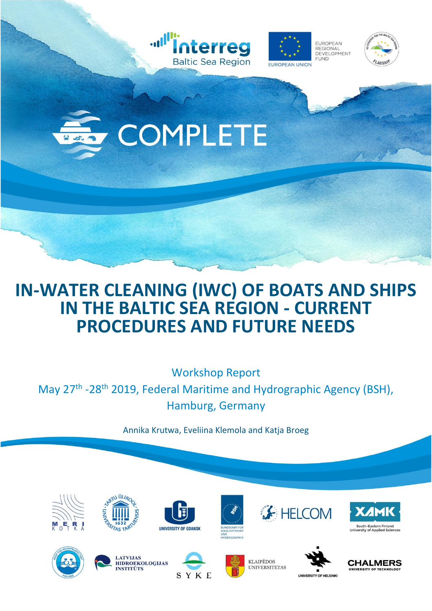





COMPLETE

### **IN-WATER CLEANING (IWC) OF BOATS AND SHIPS IN THE BALTIC SEA REGION - CURRENT PROCEDURES AND FUTURE NEEDS**

Workshop Report

May 27<sup>th</sup> -28<sup>th</sup> 2019, Federal Maritime and Hydrographic Agency (BSH), Hamburg, Germany

Annika Krutwa, Eveliina Klemola and Katja Broeg

























**UNIVERSITY OF HELSINK** 

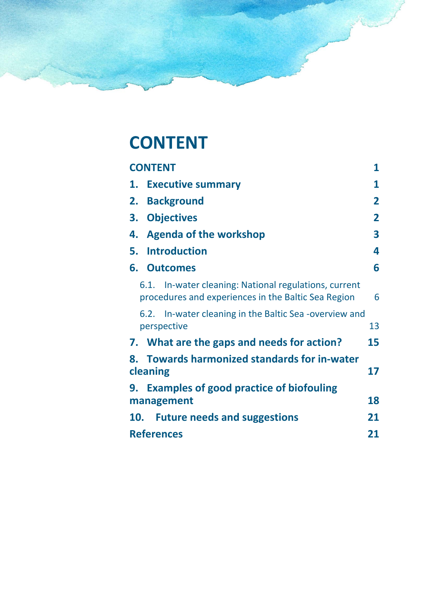# <span id="page-1-0"></span>**CONTENT**

| <b>CONTENT</b>                                                                                               | 1                       |  |
|--------------------------------------------------------------------------------------------------------------|-------------------------|--|
| 1. Executive summary                                                                                         | 1                       |  |
| <b>Background</b><br>2.                                                                                      | $\overline{\mathbf{2}}$ |  |
| <b>Objectives</b><br>3.                                                                                      | $\overline{\mathbf{2}}$ |  |
| <b>Agenda of the workshop</b><br>4.                                                                          | $\overline{\mathbf{3}}$ |  |
| <b>Introduction</b><br>5.                                                                                    | 4                       |  |
| 6.<br><b>Outcomes</b>                                                                                        | 6                       |  |
| 6.1. In-water cleaning: National regulations, current<br>procedures and experiences in the Baltic Sea Region | 6                       |  |
| In-water cleaning in the Baltic Sea -overview and<br>6.2.<br>perspective                                     | 13                      |  |
| 7. What are the gaps and needs for action?                                                                   | 15                      |  |
| 8. Towards harmonized standards for in-water<br>cleaning                                                     | 17                      |  |
| <b>Examples of good practice of biofouling</b><br>9.<br>management                                           | 18                      |  |
| <b>Future needs and suggestions</b><br>10.                                                                   | 21                      |  |
| <b>References</b><br>21                                                                                      |                         |  |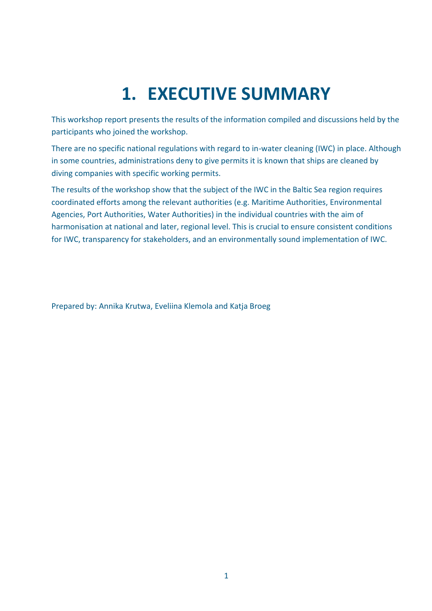# **1. EXECUTIVE SUMMARY**

<span id="page-2-0"></span>This workshop report presents the results of the information compiled and discussions held by the participants who joined the workshop.

There are no specific national regulations with regard to in-water cleaning (IWC) in place. Although in some countries, administrations deny to give permits it is known that ships are cleaned by diving companies with specific working permits.

The results of the workshop show that the subject of the IWC in the Baltic Sea region requires coordinated efforts among the relevant authorities (e.g. Maritime Authorities, Environmental Agencies, Port Authorities, Water Authorities) in the individual countries with the aim of harmonisation at national and later, regional level. This is crucial to ensure consistent conditions for IWC, transparency for stakeholders, and an environmentally sound implementation of IWC.

Prepared by: Annika Krutwa, Eveliina Klemola and Katja Broeg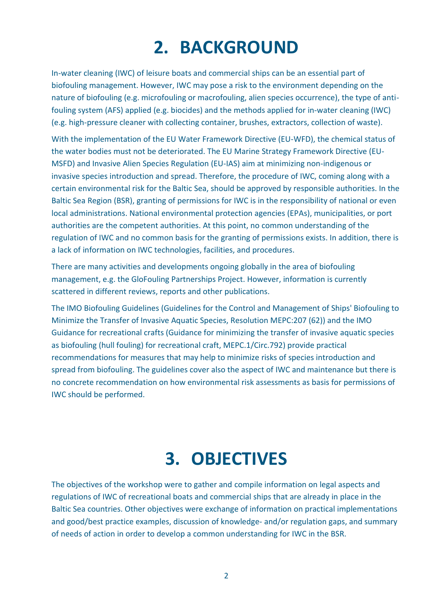# **2. BACKGROUND**

<span id="page-3-0"></span>In-water cleaning (IWC) of leisure boats and commercial ships can be an essential part of biofouling management. However, IWC may pose a risk to the environment depending on the nature of biofouling (e.g. microfouling or macrofouling, alien species occurrence), the type of antifouling system (AFS) applied (e.g. biocides) and the methods applied for in-water cleaning (IWC) (e.g. high-pressure cleaner with collecting container, brushes, extractors, collection of waste).

With the implementation of the EU Water Framework Directive (EU-WFD), the chemical status of the water bodies must not be deteriorated. The EU Marine Strategy Framework Directive (EU-MSFD) and Invasive Alien Species Regulation (EU-IAS) aim at minimizing non-indigenous or invasive species introduction and spread. Therefore, the procedure of IWC, coming along with a certain environmental risk for the Baltic Sea, should be approved by responsible authorities. In the Baltic Sea Region (BSR), granting of permissions for IWC is in the responsibility of national or even local administrations. National environmental protection agencies (EPAs), municipalities, or port authorities are the competent authorities. At this point, no common understanding of the regulation of IWC and no common basis for the granting of permissions exists. In addition, there is a lack of information on IWC technologies, facilities, and procedures.

There are many activities and developments ongoing globally in the area of biofouling management, e.g. the GloFouling Partnerships Project. However, information is currently scattered in different reviews, reports and other publications.

The IMO Biofouling Guidelines (Guidelines for the Control and Management of Ships' Biofouling to Minimize the Transfer of Invasive Aquatic Species, Resolution MEPC:207 (62)) and the IMO Guidance for recreational crafts (Guidance for minimizing the transfer of invasive aquatic species as biofouling (hull fouling) for recreational craft, MEPC.1/Circ.792) provide practical recommendations for measures that may help to minimize risks of species introduction and spread from biofouling. The guidelines cover also the aspect of IWC and maintenance but there is no concrete recommendation on how environmental risk assessments as basis for permissions of IWC should be performed.

# **3. OBJECTIVES**

<span id="page-3-1"></span>The objectives of the workshop were to gather and compile information on legal aspects and regulations of IWC of recreational boats and commercial ships that are already in place in the Baltic Sea countries. Other objectives were exchange of information on practical implementations and good/best practice examples, discussion of knowledge- and/or regulation gaps, and summary of needs of action in order to develop a common understanding for IWC in the BSR.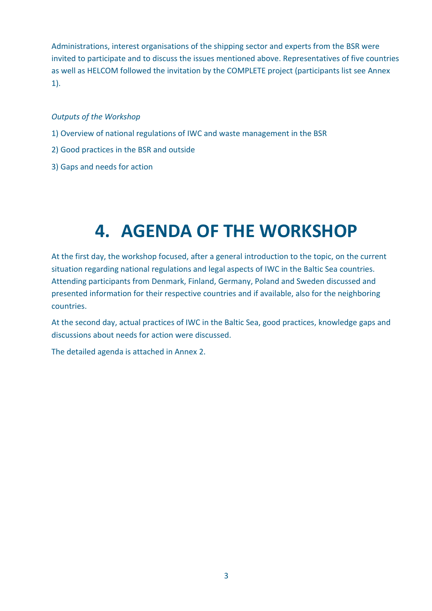Administrations, interest organisations of the shipping sector and experts from the BSR were invited to participate and to discuss the issues mentioned above. Representatives of five countries as well as HELCOM followed the invitation by the COMPLETE project (participants list see Annex 1).

#### *Outputs of the Workshop*

- 1) Overview of national regulations of IWC and waste management in the BSR
- 2) Good practices in the BSR and outside
- 3) Gaps and needs for action

# **4. AGENDA OF THE WORKSHOP**

<span id="page-4-0"></span>At the first day, the workshop focused, after a general introduction to the topic, on the current situation regarding national regulations and legal aspects of IWC in the Baltic Sea countries. Attending participants from Denmark, Finland, Germany, Poland and Sweden discussed and presented information for their respective countries and if available, also for the neighboring countries.

At the second day, actual practices of IWC in the Baltic Sea, good practices, knowledge gaps and discussions about needs for action were discussed.

The detailed agenda is attached in Annex 2.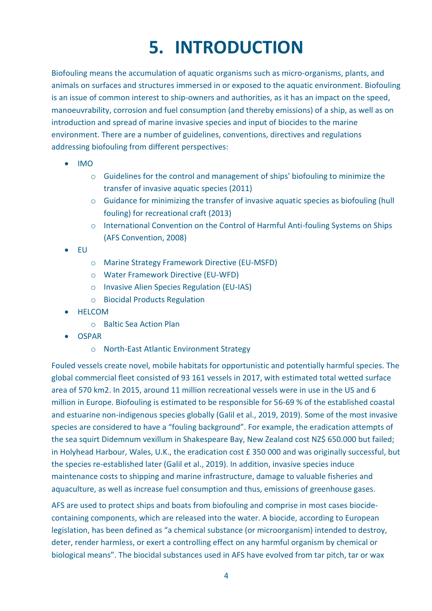# **5. INTRODUCTION**

<span id="page-5-0"></span>Biofouling means the accumulation of aquatic organisms such as micro-organisms, plants, and animals on surfaces and structures immersed in or exposed to the aquatic environment. Biofouling is an issue of common interest to ship-owners and authorities, as it has an impact on the speed, manoeuvrability, corrosion and fuel consumption (and thereby emissions) of a ship, as well as on introduction and spread of marine invasive species and input of biocides to the marine environment. There are a number of guidelines, conventions, directives and regulations addressing biofouling from different perspectives:

- IMO
	- o Guidelines for the control and management of ships' biofouling to minimize the transfer of invasive aquatic species (2011)
	- o Guidance for minimizing the transfer of invasive aquatic species as biofouling (hull fouling) for recreational craft (2013)
	- o International Convention on the Control of Harmful Anti-fouling Systems on Ships (AFS Convention, 2008)
- EU
- o Marine Strategy Framework Directive (EU-MSFD)
- o Water Framework Directive (EU-WFD)
- o Invasive Alien Species Regulation (EU-IAS)
- o Biocidal Products Regulation
- HELCOM
	- o Baltic Sea Action Plan
- OSPAR
	- o North-East Atlantic Environment Strategy

Fouled vessels create novel, mobile habitats for opportunistic and potentially harmful species. The global commercial fleet consisted of 93 161 vessels in 2017, with estimated total wetted surface area of 570 km2. In 2015, around 11 million recreational vessels were in use in the US and 6 million in Europe. Biofouling is estimated to be responsible for 56-69 % of the established coastal and estuarine non-indigenous species globally (Galil et al., 2019, 2019). Some of the most invasive species are considered to have a "fouling background". For example, the eradication attempts of the sea squirt Didemnum vexillum in Shakespeare Bay, New Zealand cost NZ\$ 650.000 but failed; in Holyhead Harbour, Wales, U.K., the eradication cost £ 350 000 and was originally successful, but the species re-established later (Galil et al., 2019). In addition, invasive species induce maintenance costs to shipping and marine infrastructure, damage to valuable fisheries and aquaculture, as well as increase fuel consumption and thus, emissions of greenhouse gases.

AFS are used to protect ships and boats from biofouling and comprise in most cases biocidecontaining components, which are released into the water. A biocide, according to European legislation, has been defined as "a chemical substance (or microorganism) intended to destroy, deter, render harmless, or exert a controlling effect on any harmful organism by chemical or biological means". The biocidal substances used in AFS have evolved from tar pitch, tar or wax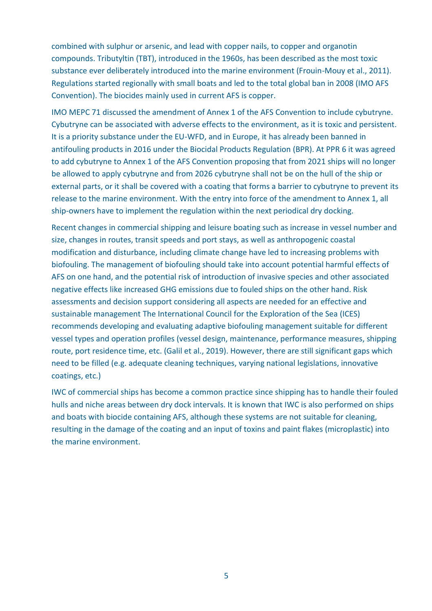combined with sulphur or arsenic, and lead with copper nails, to copper and organotin compounds. Tributyltin (TBT), introduced in the 1960s, has been described as the most toxic substance ever deliberately introduced into the marine environment (Frouin-Mouy et al., 2011). Regulations started regionally with small boats and led to the total global ban in 2008 (IMO AFS Convention). The biocides mainly used in current AFS is copper.

IMO MEPC 71 discussed the amendment of Annex 1 of the AFS Convention to include cybutryne. Cybutryne can be associated with adverse effects to the environment, as it is toxic and persistent. It is a priority substance under the EU-WFD, and in Europe, it has already been banned in antifouling products in 2016 under the Biocidal Products Regulation (BPR). At PPR 6 it was agreed to add cybutryne to Annex 1 of the AFS Convention proposing that from 2021 ships will no longer be allowed to apply cybutryne and from 2026 cybutryne shall not be on the hull of the ship or external parts, or it shall be covered with a coating that forms a barrier to cybutryne to prevent its release to the marine environment. With the entry into force of the amendment to Annex 1, all ship-owners have to implement the regulation within the next periodical dry docking.

Recent changes in commercial shipping and leisure boating such as increase in vessel number and size, changes in routes, transit speeds and port stays, as well as anthropogenic coastal modification and disturbance, including climate change have led to increasing problems with biofouling. The management of biofouling should take into account potential harmful effects of AFS on one hand, and the potential risk of introduction of invasive species and other associated negative effects like increased GHG emissions due to fouled ships on the other hand. Risk assessments and decision support considering all aspects are needed for an effective and sustainable management The International Council for the Exploration of the Sea (ICES) recommends developing and evaluating adaptive biofouling management suitable for different vessel types and operation profiles (vessel design, maintenance, performance measures, shipping route, port residence time, etc. (Galil et al., 2019). However, there are still significant gaps which need to be filled (e.g. adequate cleaning techniques, varying national legislations, innovative coatings, etc.)

IWC of commercial ships has become a common practice since shipping has to handle their fouled hulls and niche areas between dry dock intervals. It is known that IWC is also performed on ships and boats with biocide containing AFS, although these systems are not suitable for cleaning, resulting in the damage of the coating and an input of toxins and paint flakes (microplastic) into the marine environment.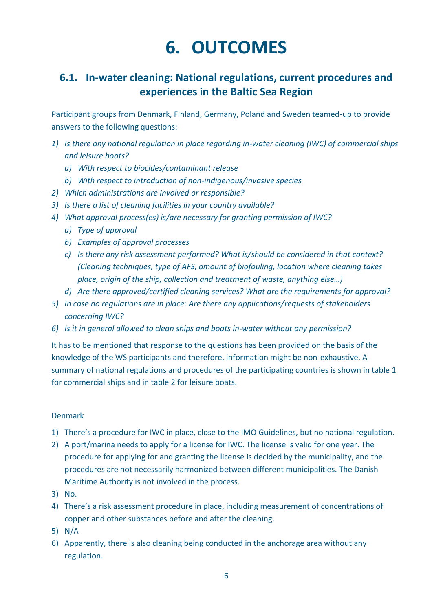# **6. OUTCOMES**

### <span id="page-7-1"></span><span id="page-7-0"></span>**6.1. In-water cleaning: National regulations, current procedures and experiences in the Baltic Sea Region**

Participant groups from Denmark, Finland, Germany, Poland and Sweden teamed-up to provide answers to the following questions:

- *1) Is there any national regulation in place regarding in-water cleaning (IWC) of commercial ships and leisure boats?*
	- *a) With respect to biocides/contaminant release*
	- *b) With respect to introduction of non-indigenous/invasive species*
- *2) Which administrations are involved or responsible?*
- *3) Is there a list of cleaning facilities in your country available?*
- *4) What approval process(es) is/are necessary for granting permission of IWC?*
	- *a) Type of approval*
	- *b) Examples of approval processes*
	- *c) Is there any risk assessment performed? What is/should be considered in that context? (Cleaning techniques, type of AFS, amount of biofouling, location where cleaning takes place, origin of the ship, collection and treatment of waste, anything else…)*
	- *d) Are there approved/certified cleaning services? What are the requirements for approval?*
- *5) In case no regulations are in place: Are there any applications/requests of stakeholders concerning IWC?*
- *6) Is it in general allowed to clean ships and boats in-water without any permission?*

It has to be mentioned that response to the questions has been provided on the basis of the knowledge of the WS participants and therefore, information might be non-exhaustive. A summary of national regulations and procedures of the participating countries is shown in table 1 for commercial ships and in table 2 for leisure boats.

#### Denmark

- 1) There's a procedure for IWC in place, close to the IMO Guidelines, but no national regulation.
- 2) A port/marina needs to apply for a license for IWC. The license is valid for one year. The procedure for applying for and granting the license is decided by the municipality, and the procedures are not necessarily harmonized between different municipalities. The Danish Maritime Authority is not involved in the process.
- 3) No.
- 4) There's a risk assessment procedure in place, including measurement of concentrations of copper and other substances before and after the cleaning.
- 5) N/A
- 6) Apparently, there is also cleaning being conducted in the anchorage area without any regulation.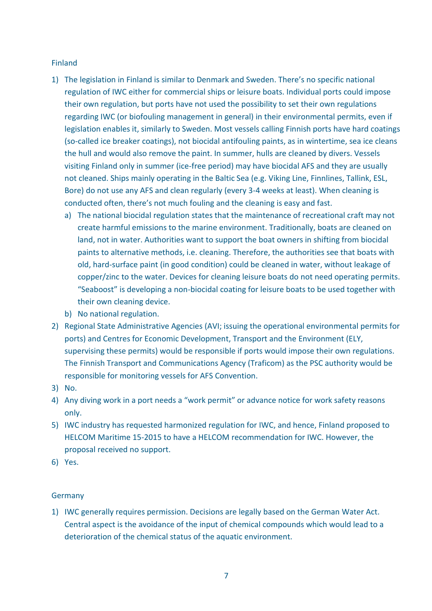#### Finland

- 1) The legislation in Finland is similar to Denmark and Sweden. There's no specific national regulation of IWC either for commercial ships or leisure boats. Individual ports could impose their own regulation, but ports have not used the possibility to set their own regulations regarding IWC (or biofouling management in general) in their environmental permits, even if legislation enables it, similarly to Sweden. Most vessels calling Finnish ports have hard coatings (so-called ice breaker coatings), not biocidal antifouling paints, as in wintertime, sea ice cleans the hull and would also remove the paint. In summer, hulls are cleaned by divers. Vessels visiting Finland only in summer (ice-free period) may have biocidal AFS and they are usually not cleaned. Ships mainly operating in the Baltic Sea (e.g. Viking Line, Finnlines, Tallink, ESL, Bore) do not use any AFS and clean regularly (every 3-4 weeks at least). When cleaning is conducted often, there's not much fouling and the cleaning is easy and fast.
	- a) The national biocidal regulation states that the maintenance of recreational craft may not create harmful emissions to the marine environment. Traditionally, boats are cleaned on land, not in water. Authorities want to support the boat owners in shifting from biocidal paints to alternative methods, i.e. cleaning. Therefore, the authorities see that boats with old, hard-surface paint (in good condition) could be cleaned in water, without leakage of copper/zinc to the water. Devices for cleaning leisure boats do not need operating permits. "Seaboost" is developing a non-biocidal coating for leisure boats to be used together with their own cleaning device.
	- b) No national regulation.
- 2) Regional State Administrative Agencies (AVI; issuing the operational environmental permits for ports) and Centres for Economic Development, Transport and the Environment (ELY, supervising these permits) would be responsible if ports would impose their own regulations. The Finnish Transport and Communications Agency (Traficom) as the PSC authority would be responsible for monitoring vessels for AFS Convention.
- 3) No.
- 4) Any diving work in a port needs a "work permit" or advance notice for work safety reasons only.
- 5) IWC industry has requested harmonized regulation for IWC, and hence, Finland proposed to HELCOM Maritime 15-2015 to have a HELCOM recommendation for IWC. However, the proposal received no support.
- 6) Yes.

#### **Germany**

1) IWC generally requires permission. Decisions are legally based on the German Water Act. Central aspect is the avoidance of the input of chemical compounds which would lead to a deterioration of the chemical status of the aquatic environment.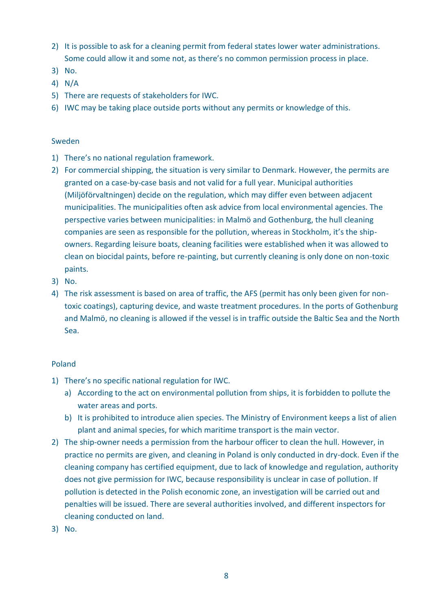- 2) It is possible to ask for a cleaning permit from federal states lower water administrations. Some could allow it and some not, as there's no common permission process in place.
- 3) No.
- 4) N/A
- 5) There are requests of stakeholders for IWC.
- 6) IWC may be taking place outside ports without any permits or knowledge of this.

#### Sweden

- 1) There's no national regulation framework.
- 2) For commercial shipping, the situation is very similar to Denmark. However, the permits are granted on a case-by-case basis and not valid for a full year. Municipal authorities (Miljöförvaltningen) decide on the regulation, which may differ even between adjacent municipalities. The municipalities often ask advice from local environmental agencies. The perspective varies between municipalities: in Malmö and Gothenburg, the hull cleaning companies are seen as responsible for the pollution, whereas in Stockholm, it's the shipowners. Regarding leisure boats, cleaning facilities were established when it was allowed to clean on biocidal paints, before re-painting, but currently cleaning is only done on non-toxic paints.
- 3) No.
- 4) The risk assessment is based on area of traffic, the AFS (permit has only been given for nontoxic coatings), capturing device, and waste treatment procedures. In the ports of Gothenburg and Malmö, no cleaning is allowed if the vessel is in traffic outside the Baltic Sea and the North Sea.

#### Poland

- 1) There's no specific national regulation for IWC.
	- a) According to the act on environmental pollution from ships, it is forbidden to pollute the water areas and ports.
	- b) It is prohibited to introduce alien species. The Ministry of Environment keeps a list of alien plant and animal species, for which maritime transport is the main vector.
- 2) The ship-owner needs a permission from the harbour officer to clean the hull. However, in practice no permits are given, and cleaning in Poland is only conducted in dry-dock. Even if the cleaning company has certified equipment, due to lack of knowledge and regulation, authority does not give permission for IWC, because responsibility is unclear in case of pollution. If pollution is detected in the Polish economic zone, an investigation will be carried out and penalties will be issued. There are several authorities involved, and different inspectors for cleaning conducted on land.
- 3) No.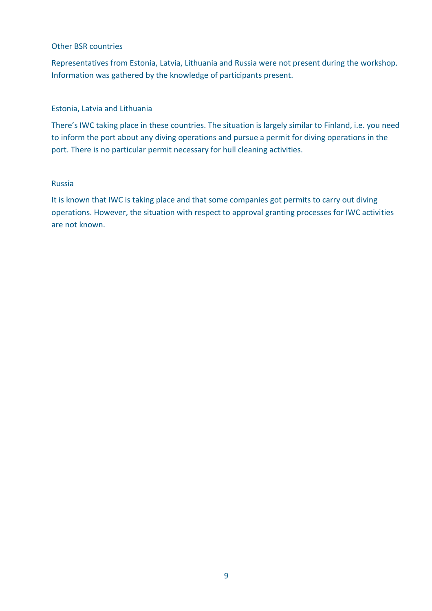#### Other BSR countries

Representatives from Estonia, Latvia, Lithuania and Russia were not present during the workshop. Information was gathered by the knowledge of participants present.

#### Estonia, Latvia and Lithuania

There's IWC taking place in these countries. The situation is largely similar to Finland, i.e. you need to inform the port about any diving operations and pursue a permit for diving operations in the port. There is no particular permit necessary for hull cleaning activities.

#### Russia

It is known that IWC is taking place and that some companies got permits to carry out diving operations. However, the situation with respect to approval granting processes for IWC activities are not known.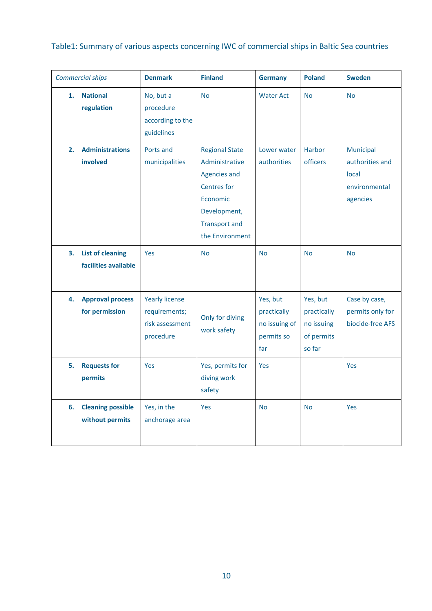Table1: Summary of various aspects concerning IWC of commercial ships in Baltic Sea countries

| <b>Commercial ships</b> |                                                 | <b>Denmark</b>                                                         | <b>Finland</b>                                                                                                                                | <b>Germany</b>                                                | <b>Poland</b>                                                 | <b>Sweden</b>                                                      |
|-------------------------|-------------------------------------------------|------------------------------------------------------------------------|-----------------------------------------------------------------------------------------------------------------------------------------------|---------------------------------------------------------------|---------------------------------------------------------------|--------------------------------------------------------------------|
| 1.                      | <b>National</b><br>regulation                   | No, but a<br>procedure<br>according to the<br>guidelines               | <b>No</b>                                                                                                                                     | <b>Water Act</b>                                              | <b>No</b>                                                     | <b>No</b>                                                          |
| 2.                      | <b>Administrations</b><br>involved              | Ports and<br>municipalities                                            | <b>Regional State</b><br>Administrative<br>Agencies and<br>Centres for<br>Economic<br>Development,<br><b>Transport and</b><br>the Environment | Lower water<br>authorities                                    | <b>Harbor</b><br>officers                                     | Municipal<br>authorities and<br>local<br>environmental<br>agencies |
| 3.                      | <b>List of cleaning</b><br>facilities available | <b>Yes</b>                                                             | <b>No</b>                                                                                                                                     | <b>No</b>                                                     | <b>No</b>                                                     | <b>No</b>                                                          |
| 4.                      | <b>Approval process</b><br>for permission       | <b>Yearly license</b><br>requirements;<br>risk assessment<br>procedure | Only for diving<br>work safety                                                                                                                | Yes, but<br>practically<br>no issuing of<br>permits so<br>far | Yes, but<br>practically<br>no issuing<br>of permits<br>so far | Case by case,<br>permits only for<br>biocide-free AFS              |
| 5.                      | <b>Requests for</b><br>permits                  | Yes                                                                    | Yes, permits for<br>diving work<br>safety                                                                                                     | Yes                                                           |                                                               | Yes                                                                |
| 6.                      | <b>Cleaning possible</b><br>without permits     | Yes, in the<br>anchorage area                                          | Yes                                                                                                                                           | <b>No</b>                                                     | <b>No</b>                                                     | Yes                                                                |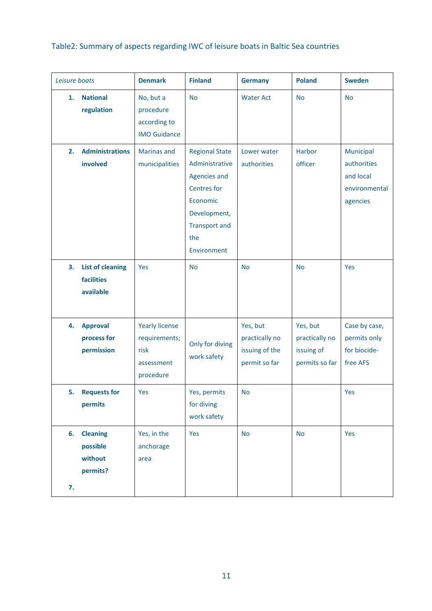### Table2: Summary of aspects regarding IWC of leisure boats in Baltic Sea countries

| Leisure boats                                                  | <b>Denmark</b>                                                            | <b>Finland</b>                                                                                                                                          | <b>Germany</b>                                                | <b>Poland</b>                                              | <b>Sweden</b>                                                      |
|----------------------------------------------------------------|---------------------------------------------------------------------------|---------------------------------------------------------------------------------------------------------------------------------------------------------|---------------------------------------------------------------|------------------------------------------------------------|--------------------------------------------------------------------|
| <b>National</b><br>1.<br>regulation                            | No, but a<br>procedure<br>according to<br><b>IMO Guidance</b>             | <b>No</b>                                                                                                                                               | <b>Water Act</b>                                              | <b>No</b>                                                  | <b>No</b>                                                          |
| <b>Administrations</b><br>2.<br>involved                       | <b>Marinas and</b><br>municipalities                                      | <b>Regional State</b><br>Administrative<br><b>Agencies and</b><br>Centres for<br>Economic<br>Development,<br><b>Transport and</b><br>the<br>Environment | Lower water<br>authorities                                    | Harbor<br>officer                                          | Municipal<br>authorities<br>and local<br>environmental<br>agencies |
| <b>List of cleaning</b><br>3.<br>facilities<br>available       | Yes                                                                       | <b>No</b>                                                                                                                                               | <b>No</b>                                                     | <b>No</b>                                                  | Yes                                                                |
| <b>Approval</b><br>4.<br>process for<br>permission             | <b>Yearly license</b><br>requirements;<br>risk<br>assessment<br>procedure | Only for diving<br>work safety                                                                                                                          | Yes, but<br>practically no<br>issuing of the<br>permit so far | Yes, but<br>practically no<br>issuing of<br>permits so far | Case by case,<br>permits only<br>for biocide-<br>free AFS          |
| <b>Requests for</b><br>5.<br>permits                           | Yes                                                                       | Yes, permits<br>for diving<br>work safety                                                                                                               | <b>No</b>                                                     |                                                            | Yes                                                                |
| <b>Cleaning</b><br>6.<br>possible<br>without<br>permits?<br>7. | Yes, in the<br>anchorage<br>area                                          | Yes                                                                                                                                                     | <b>No</b>                                                     | <b>No</b>                                                  | Yes                                                                |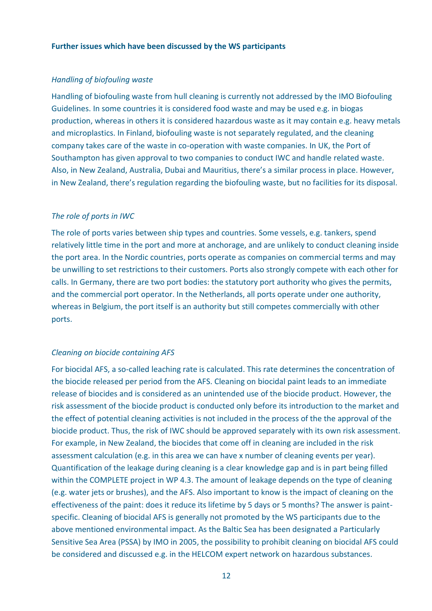#### **Further issues which have been discussed by the WS participants**

#### *Handling of biofouling waste*

Handling of biofouling waste from hull cleaning is currently not addressed by the IMO Biofouling Guidelines. In some countries it is considered food waste and may be used e.g. in biogas production, whereas in others it is considered hazardous waste as it may contain e.g. heavy metals and microplastics. In Finland, biofouling waste is not separately regulated, and the cleaning company takes care of the waste in co-operation with waste companies. In UK, the Port of Southampton has given approval to two companies to conduct IWC and handle related waste. Also, in New Zealand, Australia, Dubai and Mauritius, there's a similar process in place. However, in New Zealand, there's regulation regarding the biofouling waste, but no facilities for its disposal.

#### *The role of ports in IWC*

The role of ports varies between ship types and countries. Some vessels, e.g. tankers, spend relatively little time in the port and more at anchorage, and are unlikely to conduct cleaning inside the port area. In the Nordic countries, ports operate as companies on commercial terms and may be unwilling to set restrictions to their customers. Ports also strongly compete with each other for calls. In Germany, there are two port bodies: the statutory port authority who gives the permits, and the commercial port operator. In the Netherlands, all ports operate under one authority, whereas in Belgium, the port itself is an authority but still competes commercially with other ports.

#### *Cleaning on biocide containing AFS*

For biocidal AFS, a so-called leaching rate is calculated. This rate determines the concentration of the biocide released per period from the AFS. Cleaning on biocidal paint leads to an immediate release of biocides and is considered as an unintended use of the biocide product. However, the risk assessment of the biocide product is conducted only before its introduction to the market and the effect of potential cleaning activities is not included in the process of the the approval of the biocide product. Thus, the risk of IWC should be approved separately with its own risk assessment. For example, in New Zealand, the biocides that come off in cleaning are included in the risk assessment calculation (e.g. in this area we can have x number of cleaning events per year). Quantification of the leakage during cleaning is a clear knowledge gap and is in part being filled within the COMPLETE project in WP 4.3. The amount of leakage depends on the type of cleaning (e.g. water jets or brushes), and the AFS. Also important to know is the impact of cleaning on the effectiveness of the paint: does it reduce its lifetime by 5 days or 5 months? The answer is paintspecific. Cleaning of biocidal AFS is generally not promoted by the WS participants due to the above mentioned environmental impact. As the Baltic Sea has been designated a Particularly Sensitive Sea Area (PSSA) by IMO in 2005, the possibility to prohibit cleaning on biocidal AFS could be considered and discussed e.g. in the HELCOM expert network on hazardous substances.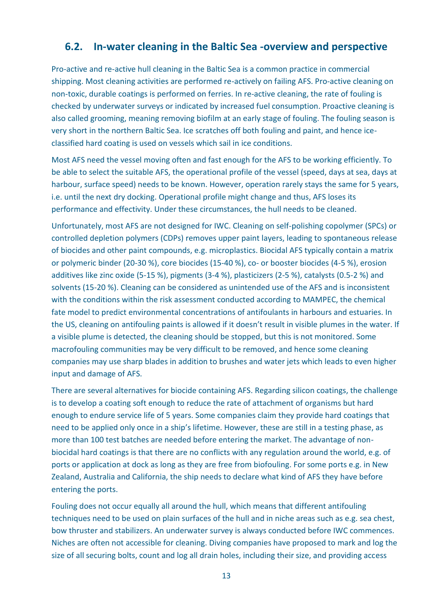### <span id="page-14-0"></span>**6.2. In-water cleaning in the Baltic Sea -overview and perspective**

Pro-active and re-active hull cleaning in the Baltic Sea is a common practice in commercial shipping. Most cleaning activities are performed re-actively on failing AFS. Pro-active cleaning on non-toxic, durable coatings is performed on ferries. In re-active cleaning, the rate of fouling is checked by underwater surveys or indicated by increased fuel consumption. Proactive cleaning is also called grooming, meaning removing biofilm at an early stage of fouling. The fouling season is very short in the northern Baltic Sea. Ice scratches off both fouling and paint, and hence iceclassified hard coating is used on vessels which sail in ice conditions.

Most AFS need the vessel moving often and fast enough for the AFS to be working efficiently. To be able to select the suitable AFS, the operational profile of the vessel (speed, days at sea, days at harbour, surface speed) needs to be known. However, operation rarely stays the same for 5 years, i.e. until the next dry docking. Operational profile might change and thus, AFS loses its performance and effectivity. Under these circumstances, the hull needs to be cleaned.

Unfortunately, most AFS are not designed for IWC. Cleaning on self-polishing copolymer (SPCs) or controlled depletion polymers (CDPs) removes upper paint layers, leading to spontaneous release of biocides and other paint compounds, e.g. microplastics. Biocidal AFS typically contain a matrix or polymeric binder (20-30 %), core biocides (15-40 %), co- or booster biocides (4-5 %), erosion additives like zinc oxide (5-15 %), pigments (3-4 %), plasticizers (2-5 %), catalysts (0.5-2 %) and solvents (15-20 %). Cleaning can be considered as unintended use of the AFS and is inconsistent with the conditions within the risk assessment conducted according to MAMPEC, the chemical fate model to predict environmental concentrations of antifoulants in harbours and estuaries. In the US, cleaning on antifouling paints is allowed if it doesn't result in visible plumes in the water. If a visible plume is detected, the cleaning should be stopped, but this is not monitored. Some macrofouling communities may be very difficult to be removed, and hence some cleaning companies may use sharp blades in addition to brushes and water jets which leads to even higher input and damage of AFS.

There are several alternatives for biocide containing AFS. Regarding silicon coatings, the challenge is to develop a coating soft enough to reduce the rate of attachment of organisms but hard enough to endure service life of 5 years. Some companies claim they provide hard coatings that need to be applied only once in a ship's lifetime. However, these are still in a testing phase, as more than 100 test batches are needed before entering the market. The advantage of nonbiocidal hard coatings is that there are no conflicts with any regulation around the world, e.g. of ports or application at dock as long as they are free from biofouling. For some ports e.g. in New Zealand, Australia and California, the ship needs to declare what kind of AFS they have before entering the ports.

Fouling does not occur equally all around the hull, which means that different antifouling techniques need to be used on plain surfaces of the hull and in niche areas such as e.g. sea chest, bow thruster and stabilizers. An underwater survey is always conducted before IWC commences. Niches are often not accessible for cleaning. Diving companies have proposed to mark and log the size of all securing bolts, count and log all drain holes, including their size, and providing access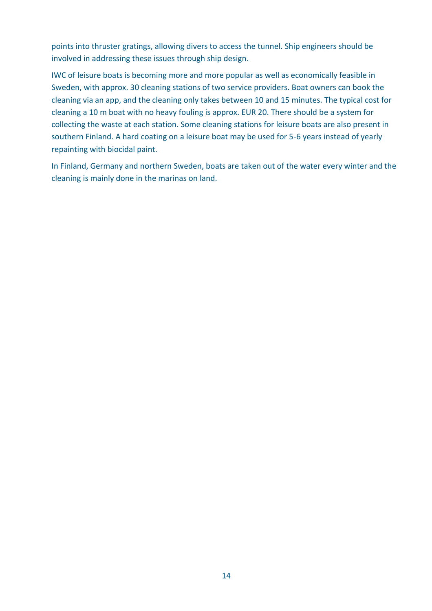points into thruster gratings, allowing divers to access the tunnel. Ship engineers should be involved in addressing these issues through ship design.

IWC of leisure boats is becoming more and more popular as well as economically feasible in Sweden, with approx. 30 cleaning stations of two service providers. Boat owners can book the cleaning via an app, and the cleaning only takes between 10 and 15 minutes. The typical cost for cleaning a 10 m boat with no heavy fouling is approx. EUR 20. There should be a system for collecting the waste at each station. Some cleaning stations for leisure boats are also present in southern Finland. A hard coating on a leisure boat may be used for 5-6 years instead of yearly repainting with biocidal paint.

In Finland, Germany and northern Sweden, boats are taken out of the water every winter and the cleaning is mainly done in the marinas on land.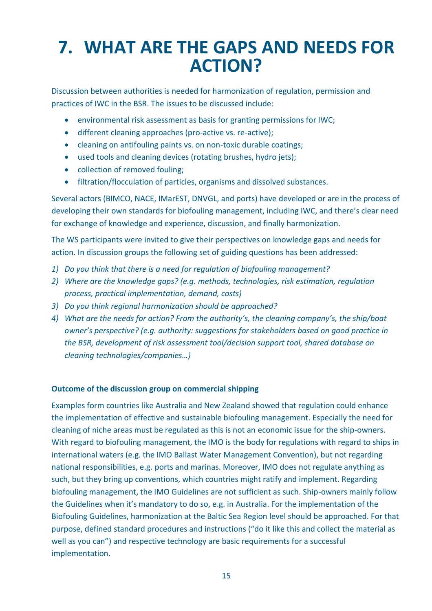## <span id="page-16-0"></span>**7. WHAT ARE THE GAPS AND NEEDS FOR ACTION?**

Discussion between authorities is needed for harmonization of regulation, permission and practices of IWC in the BSR. The issues to be discussed include:

- environmental risk assessment as basis for granting permissions for IWC;
- different cleaning approaches (pro-active vs. re-active);
- cleaning on antifouling paints vs. on non-toxic durable coatings;
- used tools and cleaning devices (rotating brushes, hydro jets);
- collection of removed fouling;
- filtration/flocculation of particles, organisms and dissolved substances.

Several actors (BIMCO, NACE, IMarEST, DNVGL, and ports) have developed or are in the process of developing their own standards for biofouling management, including IWC, and there's clear need for exchange of knowledge and experience, discussion, and finally harmonization.

The WS participants were invited to give their perspectives on knowledge gaps and needs for action. In discussion groups the following set of guiding questions has been addressed:

- *1) Do you think that there is a need for regulation of biofouling management?*
- *2) Where are the knowledge gaps? (e.g. methods, technologies, risk estimation, regulation process, practical implementation, demand, costs)*
- *3) Do you think regional harmonization should be approached?*
- *4) What are the needs for action? From the authority's, the cleaning company's, the ship/boat owner's perspective? (e.g. authority: suggestions for stakeholders based on good practice in the BSR, development of risk assessment tool/decision support tool, shared database on cleaning technologies/companies…)*

#### **Outcome of the discussion group on commercial shipping**

Examples form countries like Australia and New Zealand showed that regulation could enhance the implementation of effective and sustainable biofouling management. Especially the need for cleaning of niche areas must be regulated as this is not an economic issue for the ship-owners. With regard to biofouling management, the IMO is the body for regulations with regard to ships in international waters (e.g. the IMO Ballast Water Management Convention), but not regarding national responsibilities, e.g. ports and marinas. Moreover, IMO does not regulate anything as such, but they bring up conventions, which countries might ratify and implement. Regarding biofouling management, the IMO Guidelines are not sufficient as such. Ship-owners mainly follow the Guidelines when it's mandatory to do so, e.g. in Australia. For the implementation of the Biofouling Guidelines, harmonization at the Baltic Sea Region level should be approached. For that purpose, defined standard procedures and instructions ("do it like this and collect the material as well as you can") and respective technology are basic requirements for a successful implementation.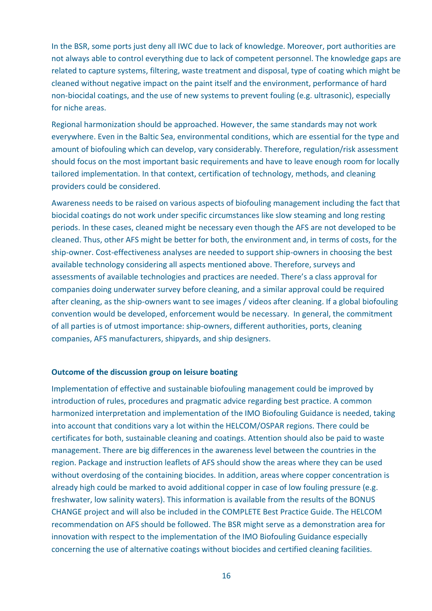In the BSR, some ports just deny all IWC due to lack of knowledge. Moreover, port authorities are not always able to control everything due to lack of competent personnel. The knowledge gaps are related to capture systems, filtering, waste treatment and disposal, type of coating which might be cleaned without negative impact on the paint itself and the environment, performance of hard non-biocidal coatings, and the use of new systems to prevent fouling (e.g. ultrasonic), especially for niche areas.

Regional harmonization should be approached. However, the same standards may not work everywhere. Even in the Baltic Sea, environmental conditions, which are essential for the type and amount of biofouling which can develop, vary considerably. Therefore, regulation/risk assessment should focus on the most important basic requirements and have to leave enough room for locally tailored implementation. In that context, certification of technology, methods, and cleaning providers could be considered.

Awareness needs to be raised on various aspects of biofouling management including the fact that biocidal coatings do not work under specific circumstances like slow steaming and long resting periods. In these cases, cleaned might be necessary even though the AFS are not developed to be cleaned. Thus, other AFS might be better for both, the environment and, in terms of costs, for the ship-owner. Cost-effectiveness analyses are needed to support ship-owners in choosing the best available technology considering all aspects mentioned above. Therefore, surveys and assessments of available technologies and practices are needed. There's a class approval for companies doing underwater survey before cleaning, and a similar approval could be required after cleaning, as the ship-owners want to see images / videos after cleaning. If a global biofouling convention would be developed, enforcement would be necessary. In general, the commitment of all parties is of utmost importance: ship-owners, different authorities, ports, cleaning companies, AFS manufacturers, shipyards, and ship designers.

#### **Outcome of the discussion group on leisure boating**

Implementation of effective and sustainable biofouling management could be improved by introduction of rules, procedures and pragmatic advice regarding best practice. A common harmonized interpretation and implementation of the IMO Biofouling Guidance is needed, taking into account that conditions vary a lot within the HELCOM/OSPAR regions. There could be certificates for both, sustainable cleaning and coatings. Attention should also be paid to waste management. There are big differences in the awareness level between the countries in the region. Package and instruction leaflets of AFS should show the areas where they can be used without overdosing of the containing biocides. In addition, areas where copper concentration is already high could be marked to avoid additional copper in case of low fouling pressure (e.g. freshwater, low salinity waters). This information is available from the results of the BONUS CHANGE project and will also be included in the COMPLETE Best Practice Guide. The HELCOM recommendation on AFS should be followed. The BSR might serve as a demonstration area for innovation with respect to the implementation of the IMO Biofouling Guidance especially concerning the use of alternative coatings without biocides and certified cleaning facilities.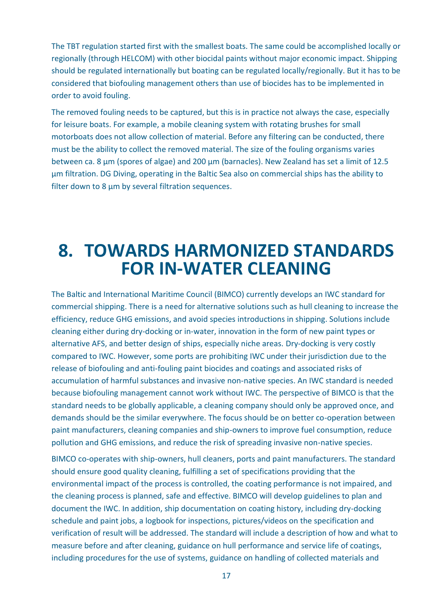The TBT regulation started first with the smallest boats. The same could be accomplished locally or regionally (through HELCOM) with other biocidal paints without major economic impact. Shipping should be regulated internationally but boating can be regulated locally/regionally. But it has to be considered that biofouling management others than use of biocides has to be implemented in order to avoid fouling.

The removed fouling needs to be captured, but this is in practice not always the case, especially for leisure boats. For example, a mobile cleaning system with rotating brushes for small motorboats does not allow collection of material. Before any filtering can be conducted, there must be the ability to collect the removed material. The size of the fouling organisms varies between ca. 8  $\mu$ m (spores of algae) and 200  $\mu$ m (barnacles). New Zealand has set a limit of 12.5 µm filtration. DG Diving, operating in the Baltic Sea also on commercial ships has the ability to filter down to 8 µm by several filtration sequences.

### <span id="page-18-0"></span>**8. TOWARDS HARMONIZED STANDARDS FOR IN-WATER CLEANING**

The Baltic and International Maritime Council (BIMCO) currently develops an IWC standard for commercial shipping. There is a need for alternative solutions such as hull cleaning to increase the efficiency, reduce GHG emissions, and avoid species introductions in shipping. Solutions include cleaning either during dry-docking or in-water, innovation in the form of new paint types or alternative AFS, and better design of ships, especially niche areas. Dry-docking is very costly compared to IWC. However, some ports are prohibiting IWC under their jurisdiction due to the release of biofouling and anti-fouling paint biocides and coatings and associated risks of accumulation of harmful substances and invasive non-native species. An IWC standard is needed because biofouling management cannot work without IWC. The perspective of BIMCO is that the standard needs to be globally applicable, a cleaning company should only be approved once, and demands should be the similar everywhere. The focus should be on better co-operation between paint manufacturers, cleaning companies and ship-owners to improve fuel consumption, reduce pollution and GHG emissions, and reduce the risk of spreading invasive non-native species.

BIMCO co-operates with ship-owners, hull cleaners, ports and paint manufacturers. The standard should ensure good quality cleaning, fulfilling a set of specifications providing that the environmental impact of the process is controlled, the coating performance is not impaired, and the cleaning process is planned, safe and effective. BIMCO will develop guidelines to plan and document the IWC. In addition, ship documentation on coating history, including dry-docking schedule and paint jobs, a logbook for inspections, pictures/videos on the specification and verification of result will be addressed. The standard will include a description of how and what to measure before and after cleaning, guidance on hull performance and service life of coatings, including procedures for the use of systems, guidance on handling of collected materials and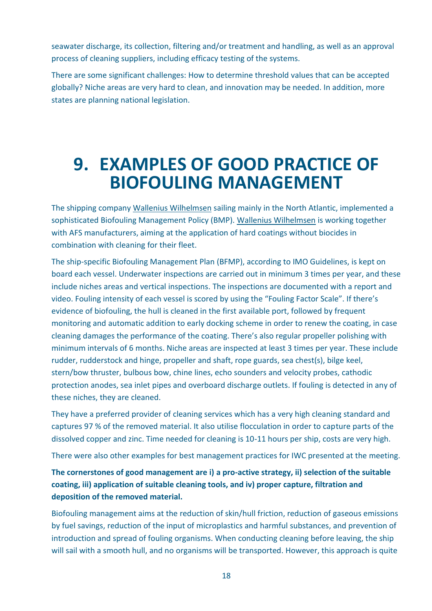seawater discharge, its collection, filtering and/or treatment and handling, as well as an approval process of cleaning suppliers, including efficacy testing of the systems.

There are some significant challenges: How to determine threshold values that can be accepted globally? Niche areas are very hard to clean, and innovation may be needed. In addition, more states are planning national legislation.

### <span id="page-19-0"></span>**9. EXAMPLES OF GOOD PRACTICE OF BIOFOULING MANAGEMENT**

The shipping company Wallenius Wilhelmsen sailing mainly in the North Atlantic, implemented a sophisticated Biofouling Management Policy (BMP). Wallenius Wilhelmsen is working together with AFS manufacturers, aiming at the application of hard coatings without biocides in combination with cleaning for their fleet.

The ship-specific Biofouling Management Plan (BFMP), according to IMO Guidelines, is kept on board each vessel. Underwater inspections are carried out in minimum 3 times per year, and these include niches areas and vertical inspections. The inspections are documented with a report and video. Fouling intensity of each vessel is scored by using the "Fouling Factor Scale". If there's evidence of biofouling, the hull is cleaned in the first available port, followed by frequent monitoring and automatic addition to early docking scheme in order to renew the coating, in case cleaning damages the performance of the coating. There's also regular propeller polishing with minimum intervals of 6 months. Niche areas are inspected at least 3 times per year. These include rudder, rudderstock and hinge, propeller and shaft, rope guards, sea chest(s), bilge keel, stern/bow thruster, bulbous bow, chine lines, echo sounders and velocity probes, cathodic protection anodes, sea inlet pipes and overboard discharge outlets. If fouling is detected in any of these niches, they are cleaned.

They have a preferred provider of cleaning services which has a very high cleaning standard and captures 97 % of the removed material. It also utilise flocculation in order to capture parts of the dissolved copper and zinc. Time needed for cleaning is 10-11 hours per ship, costs are very high.

There were also other examples for best management practices for IWC presented at the meeting.

**The cornerstones of good management are i) a pro-active strategy, ii) selection of the suitable coating, iii) application of suitable cleaning tools, and iv) proper capture, filtration and deposition of the removed material.** 

Biofouling management aims at the reduction of skin/hull friction, reduction of gaseous emissions by fuel savings, reduction of the input of microplastics and harmful substances, and prevention of introduction and spread of fouling organisms. When conducting cleaning before leaving, the ship will sail with a smooth hull, and no organisms will be transported. However, this approach is quite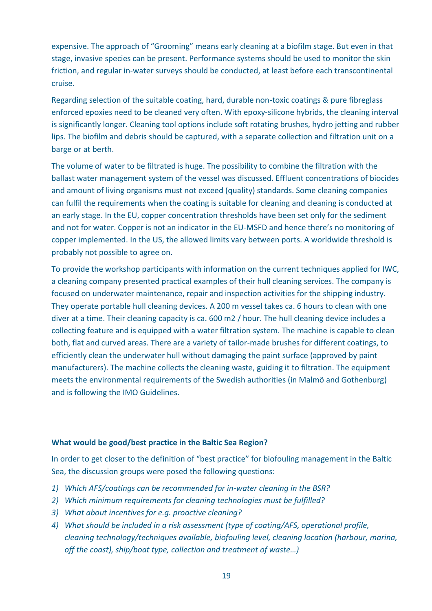expensive. The approach of "Grooming" means early cleaning at a biofilm stage. But even in that stage, invasive species can be present. Performance systems should be used to monitor the skin friction, and regular in-water surveys should be conducted, at least before each transcontinental cruise.

Regarding selection of the suitable coating, hard, durable non-toxic coatings & pure fibreglass enforced epoxies need to be cleaned very often. With epoxy-silicone hybrids, the cleaning interval is significantly longer. Cleaning tool options include soft rotating brushes, hydro jetting and rubber lips. The biofilm and debris should be captured, with a separate collection and filtration unit on a barge or at berth.

The volume of water to be filtrated is huge. The possibility to combine the filtration with the ballast water management system of the vessel was discussed. Effluent concentrations of biocides and amount of living organisms must not exceed (quality) standards. Some cleaning companies can fulfil the requirements when the coating is suitable for cleaning and cleaning is conducted at an early stage. In the EU, copper concentration thresholds have been set only for the sediment and not for water. Copper is not an indicator in the EU-MSFD and hence there's no monitoring of copper implemented. In the US, the allowed limits vary between ports. A worldwide threshold is probably not possible to agree on.

To provide the workshop participants with information on the current techniques applied for IWC, a cleaning company presented practical examples of their hull cleaning services. The company is focused on underwater maintenance, repair and inspection activities for the shipping industry. They operate portable hull cleaning devices. A 200 m vessel takes ca. 6 hours to clean with one diver at a time. Their cleaning capacity is ca. 600 m2 / hour. The hull cleaning device includes a collecting feature and is equipped with a water filtration system. The machine is capable to clean both, flat and curved areas. There are a variety of tailor-made brushes for different coatings, to efficiently clean the underwater hull without damaging the paint surface (approved by paint manufacturers). The machine collects the cleaning waste, guiding it to filtration. The equipment meets the environmental requirements of the Swedish authorities (in Malmö and Gothenburg) and is following the IMO Guidelines.

#### **What would be good/best practice in the Baltic Sea Region?**

In order to get closer to the definition of "best practice" for biofouling management in the Baltic Sea, the discussion groups were posed the following questions:

- *1) Which AFS/coatings can be recommended for in-water cleaning in the BSR?*
- *2) Which minimum requirements for cleaning technologies must be fulfilled?*
- *3) What about incentives for e.g. proactive cleaning?*
- *4) What should be included in a risk assessment (type of coating/AFS, operational profile, cleaning technology/techniques available, biofouling level, cleaning location (harbour, marina, off the coast), ship/boat type, collection and treatment of waste…)*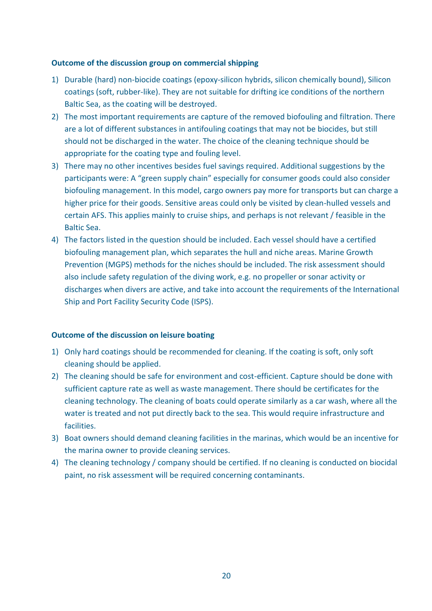#### **Outcome of the discussion group on commercial shipping**

- 1) Durable (hard) non-biocide coatings (epoxy-silicon hybrids, silicon chemically bound), Silicon coatings (soft, rubber-like). They are not suitable for drifting ice conditions of the northern Baltic Sea, as the coating will be destroyed.
- 2) The most important requirements are capture of the removed biofouling and filtration. There are a lot of different substances in antifouling coatings that may not be biocides, but still should not be discharged in the water. The choice of the cleaning technique should be appropriate for the coating type and fouling level.
- 3) There may no other incentives besides fuel savings required. Additional suggestions by the participants were: A "green supply chain" especially for consumer goods could also consider biofouling management. In this model, cargo owners pay more for transports but can charge a higher price for their goods. Sensitive areas could only be visited by clean-hulled vessels and certain AFS. This applies mainly to cruise ships, and perhaps is not relevant / feasible in the Baltic Sea.
- 4) The factors listed in the question should be included. Each vessel should have a certified biofouling management plan, which separates the hull and niche areas. Marine Growth Prevention (MGPS) methods for the niches should be included. The risk assessment should also include safety regulation of the diving work, e.g. no propeller or sonar activity or discharges when divers are active, and take into account the requirements of the International Ship and Port Facility Security Code (ISPS).

#### **Outcome of the discussion on leisure boating**

- 1) Only hard coatings should be recommended for cleaning. If the coating is soft, only soft cleaning should be applied.
- 2) The cleaning should be safe for environment and cost-efficient. Capture should be done with sufficient capture rate as well as waste management. There should be certificates for the cleaning technology. The cleaning of boats could operate similarly as a car wash, where all the water is treated and not put directly back to the sea. This would require infrastructure and facilities.
- 3) Boat owners should demand cleaning facilities in the marinas, which would be an incentive for the marina owner to provide cleaning services.
- 4) The cleaning technology / company should be certified. If no cleaning is conducted on biocidal paint, no risk assessment will be required concerning contaminants.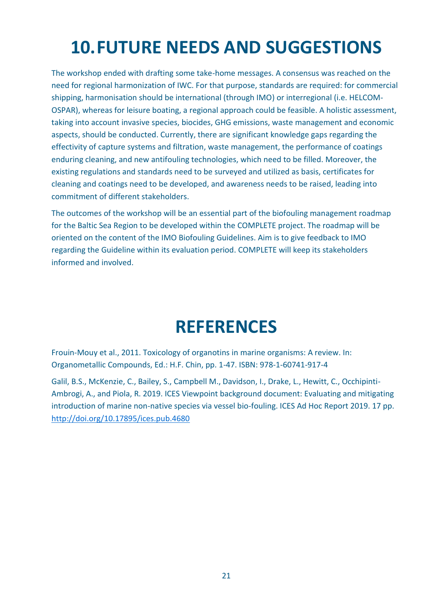# <span id="page-22-0"></span>**10.FUTURE NEEDS AND SUGGESTIONS**

The workshop ended with drafting some take-home messages. A consensus was reached on the need for regional harmonization of IWC. For that purpose, standards are required: for commercial shipping, harmonisation should be international (through IMO) or interregional (i.e. HELCOM-OSPAR), whereas for leisure boating, a regional approach could be feasible. A holistic assessment, taking into account invasive species, biocides, GHG emissions, waste management and economic aspects, should be conducted. Currently, there are significant knowledge gaps regarding the effectivity of capture systems and filtration, waste management, the performance of coatings enduring cleaning, and new antifouling technologies, which need to be filled. Moreover, the existing regulations and standards need to be surveyed and utilized as basis, certificates for cleaning and coatings need to be developed, and awareness needs to be raised, leading into commitment of different stakeholders.

The outcomes of the workshop will be an essential part of the biofouling management roadmap for the Baltic Sea Region to be developed within the COMPLETE project. The roadmap will be oriented on the content of the IMO Biofouling Guidelines. Aim is to give feedback to IMO regarding the Guideline within its evaluation period. COMPLETE will keep its stakeholders informed and involved.

## **REFERENCES**

<span id="page-22-1"></span>Frouin-Mouy et al., 2011. Toxicology of organotins in marine organisms: A review. In: Organometallic Compounds, Ed.: H.F. Chin, pp. 1-47. ISBN: 978-1-60741-917-4

Galil, B.S., McKenzie, C., Bailey, S., Campbell M., Davidson, I., Drake, L., Hewitt, C., Occhipinti-Ambrogi, A., and Piola, R. 2019. ICES Viewpoint background document: Evaluating and mitigating introduction of marine non-native species via vessel bio-fouling. ICES Ad Hoc Report 2019. 17 pp. <http://doi.org/10.17895/ices.pub.4680>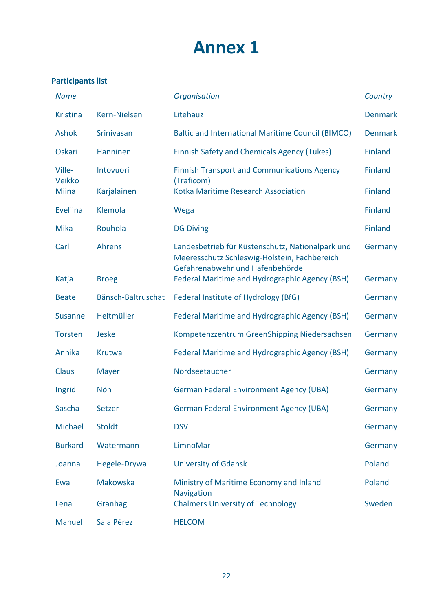## **Annex 1**

### **Participants list**

| <b>Name</b>      |                    | Organisation                                                                                                                        | Country        |
|------------------|--------------------|-------------------------------------------------------------------------------------------------------------------------------------|----------------|
| <b>Kristina</b>  | Kern-Nielsen       | Litehauz                                                                                                                            | <b>Denmark</b> |
| <b>Ashok</b>     | Srinivasan         | <b>Baltic and International Maritime Council (BIMCO)</b>                                                                            | <b>Denmark</b> |
| Oskari           | Hanninen           | <b>Finnish Safety and Chemicals Agency (Tukes)</b>                                                                                  | <b>Finland</b> |
| Ville-<br>Veikko | Intovuori          | <b>Finnish Transport and Communications Agency</b><br>(Traficom)                                                                    | <b>Finland</b> |
| <b>Miina</b>     | Karjalainen        | Kotka Maritime Research Association                                                                                                 | <b>Finland</b> |
| <b>Eveliina</b>  | Klemola            | Wega                                                                                                                                | <b>Finland</b> |
| <b>Mika</b>      | Rouhola            | <b>DG Diving</b>                                                                                                                    | <b>Finland</b> |
| Carl             | <b>Ahrens</b>      | Landesbetrieb für Küstenschutz, Nationalpark und<br>Meeresschutz Schleswig-Holstein, Fachbereich<br>Gefahrenabwehr und Hafenbehörde | Germany        |
| Katja            | <b>Broeg</b>       | <b>Federal Maritime and Hydrographic Agency (BSH)</b>                                                                               | Germany        |
| <b>Beate</b>     | Bänsch-Baltruschat | Federal Institute of Hydrology (BfG)                                                                                                | Germany        |
| <b>Susanne</b>   | Heitmüller         | <b>Federal Maritime and Hydrographic Agency (BSH)</b>                                                                               | Germany        |
| <b>Torsten</b>   | <b>Jeske</b>       | Kompetenzzentrum GreenShipping Niedersachsen                                                                                        | Germany        |
| Annika           | Krutwa             | <b>Federal Maritime and Hydrographic Agency (BSH)</b>                                                                               | Germany        |
| Claus            | <b>Mayer</b>       | Nordseetaucher                                                                                                                      | Germany        |
| Ingrid           | Nöh                | <b>German Federal Environment Agency (UBA)</b>                                                                                      | Germany        |
| Sascha           | Setzer             | <b>German Federal Environment Agency (UBA)</b>                                                                                      | Germany        |
| Michael          | <b>Stoldt</b>      | <b>DSV</b>                                                                                                                          | Germany        |
| <b>Burkard</b>   | Watermann          | LimnoMar                                                                                                                            | Germany        |
| Joanna           | Hegele-Drywa       | <b>University of Gdansk</b>                                                                                                         | Poland         |
| Ewa              | Makowska           | Ministry of Maritime Economy and Inland<br><b>Navigation</b>                                                                        | Poland         |
| Lena             | Granhag            | <b>Chalmers University of Technology</b>                                                                                            | Sweden         |
| <b>Manuel</b>    | Sala Pérez         | <b>HELCOM</b>                                                                                                                       |                |